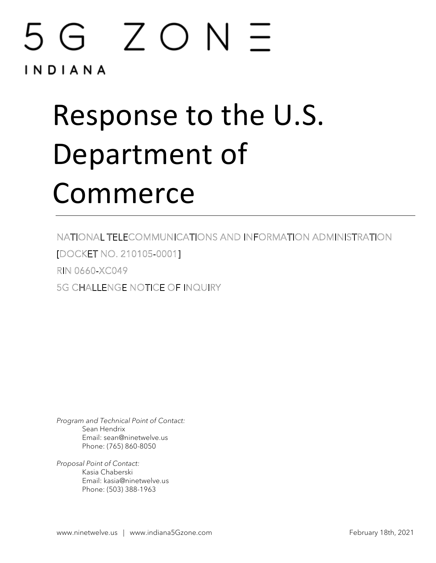## 5G ZON INDIANA

# Response to the U.S. Department of Commerce

NATIONAL TELECOMMUNICATIONS AND INFORMATION ADMINISTRATION [DOCKET NO. 210105-0001] RIN 0660-XC049 **5G CHALLENGE NOTICE OF INQUIRY** 

*Program and Technical Point of Contact:* Sean Hendrix Email: sean@ninetwelve.us Phone: (765) 860-8050

*Proposal Point of Contact:* Kasia Chaberski Email: kasia@ninetwelve.us Phone: (503) 388-1963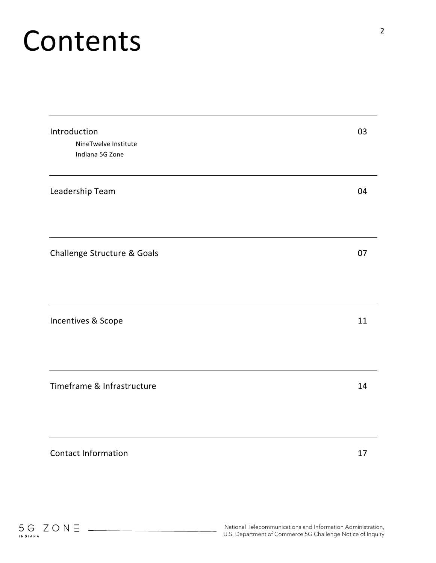# Contents

| Introduction<br>NineTwelve Institute<br>Indiana 5G Zone | 03 |
|---------------------------------------------------------|----|
| Leadership Team                                         | 04 |
| Challenge Structure & Goals                             | 07 |
| Incentives & Scope                                      | 11 |
| Timeframe & Infrastructure                              | 14 |
| <b>Contact Information</b>                              | 17 |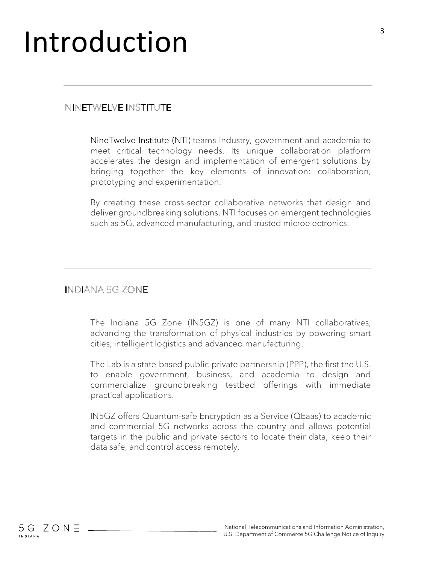## Introduction

### NINETWELVE INSTITUTE

NineTwelve Institute (NTI) teams industry, government and academia to meet critical technology needs. Its unique collaboration platform accelerates the design and implementation of emergent solutions by bringing together the key elements of innovation: collaboration, prototyping and experimentation.

By creating these cross-sector collaborative networks that design and deliver groundbreaking solutions, NTI focuses on emergent technologies such as 5G, advanced manufacturing, and trusted microelectronics.

### **INDIANA 5G ZONE**

The Indiana 5G Zone (IN5GZ) is one of many NTI collaboratives, advancing the transformation of physical industries by powering smart cities, intelligent logistics and advanced manufacturing.

The Lab is a state-based public-private partnership (PPP), the first the U.S. to enable government, business, and academia to design and commercialize groundbreaking testbed offerings with immediate practical applications.

IN5GZ offers Quantum-safe Encryption as a Service (QEaas) to academic and commercial 5G networks across the country and allows potential targets in the public and private sectors to locate their data, keep their data safe, and control access remotely.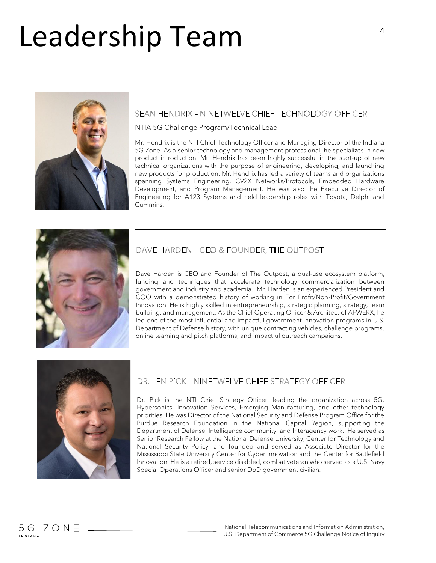# Leadership Team



#### SEAN HENDRIX - NINETWELVE CHIEF TECHNOLOGY OFFICER

NTIA 5G Challenge Program/Technical Lead

Mr. Hendrix is the NTI Chief Technology Officer and Managing Director of the Indiana 5G Zone. As a senior technology and management professional, he specializes in new product introduction. Mr. Hendrix has been highly successful in the start-up of new technical organizations with the purpose of engineering, developing, and launching new products for production. Mr. Hendrix has led a variety of teams and organizations spanning Systems Engineering, CV2X Networks/Protocols, Embedded Hardware Development, and Program Management. He was also the Executive Director of Engineering for A123 Systems and held leadership roles with Toyota, Delphi and Cummins.



#### DAVE HARDEN - CEO & FOUNDER, THE OUTPOST

Dave Harden is CEO and Founder of The Outpost, a dual-use ecosystem platform, funding and techniques that accelerate technology commercialization between government and industry and academia. Mr. Harden is an experienced President and COO with a demonstrated history of working in For Profit/Non-Profit/Government Innovation. He is highly skilled in entrepreneurship, strategic planning, strategy, team building, and management. As the Chief Operating Officer & Architect of AFWERX, he led one of the most influential and impactful government innovation programs in U.S. Department of Defense history, with unique contracting vehicles, challenge programs, online teaming and pitch platforms, and impactful outreach campaigns.



### DR. LEN PICK - NINETWELVE CHIEF STRATEGY OFFICER

Dr. Pick is the NTI Chief Strategy Officer, leading the organization across 5G, Hypersonics, Innovation Services, Emerging Manufacturing, and other technology priorities. He was Director of the National Security and Defense Program Office for the Purdue Research Foundation in the National Capital Region, supporting the Department of Defense, Intelligence community, and Interagency work. He served as Senior Research Fellow at the National Defense University, Center for Technology and National Security Policy, and founded and served as Associate Director for the Mississippi State University Center for Cyber Innovation and the Center for Battlefield Innovation. He is a retired, service disabled, combat veteran who served as a U.S. Navy Special Operations Officer and senior DoD government civilian.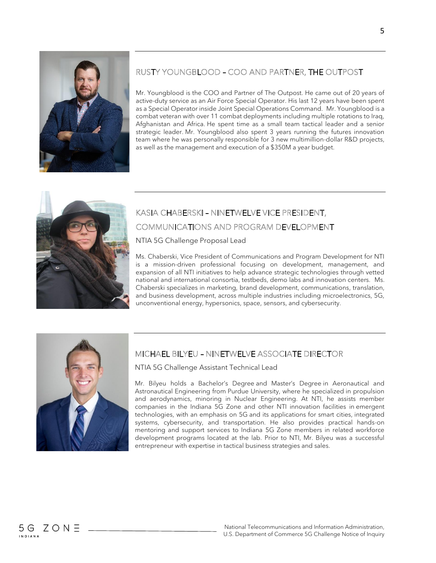

#### RUSTY YOUNGBLOOD - COO AND PARTNER, THE OUTPOST

Mr. Youngblood is the COO and Partner of The Outpost. He came out of 20 years of active-duty service as an Air Force Special Operator. His last 12 years have been spent as a Special Operator inside Joint Special Operations Command. Mr. Youngblood is a combat veteran with over 11 combat deployments including multiple rotations to Iraq, Afghanistan and Africa. He spent time as a small team tactical leader and a senior strategic leader. Mr. Youngblood also spent 3 years running the futures innovation team where he was personally responsible for 3 new multimillion-dollar R&D projects, as well as the management and execution of a \$350M a year budget.



### KASIA CHABERSKI - NINETWELVE VICE PRESIDENT, COMMUNICATIONS AND PROGRAM DEVELOPMENT

NTIA 5G Challenge Proposal Lead

Ms. Chaberski, Vice President of Communications and Program Development for NTI is a mission-driven professional focusing on development, management, and expansion of all NTI initiatives to help advance strategic technologies through vetted national and international consortia, testbeds, demo labs and innovation centers. Ms. Chaberski specializes in marketing, brand development, communications, translation, and business development, across multiple industries including microelectronics, 5G, unconventional energy, hypersonics, space, sensors, and cybersecurity.



#### MICHAEL BILYEU - NINETWELVE ASSOCIATE DIRECTOR

NTIA 5G Challenge Assistant Technical Lead

Mr. Bilyeu holds a Bachelor's Degree and Master's Degree in Aeronautical and Astronautical Engineering from Purdue University, where he specialized in propulsion and aerodynamics, minoring in Nuclear Engineering. At NTI, he assists member companies in the Indiana 5G Zone and other NTI innovation facilities in emergent technologies, with an emphasis on 5G and its applications for smart cities, integrated systems, cybersecurity, and transportation. He also provides practical hands-on mentoring and support services to Indiana 5G Zone members in related workforce development programs located at the lab. Prior to NTI, Mr. Bilyeu was a successful entrepreneur with expertise in tactical business strategies and sales.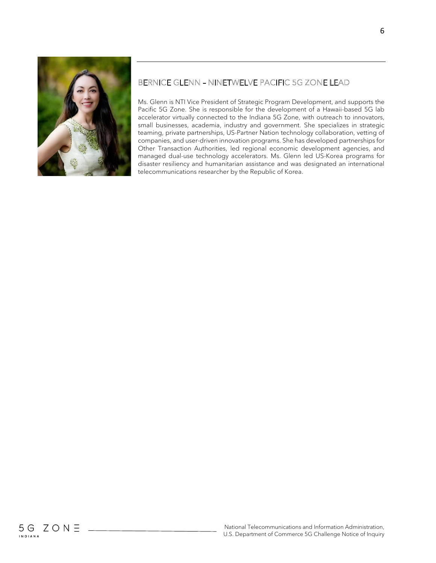

### BERNICE GLENN - NINETWELVE PACIFIC 5G ZONE LEAD

Ms. Glenn is NTI Vice President of Strategic Program Development, and supports the Pacific 5G Zone. She is responsible for the development of a Hawaii-based 5G lab accelerator virtually connected to the Indiana 5G Zone, with outreach to innovators, small businesses, academia, industry and government. She specializes in strategic teaming, private partnerships, US-Partner Nation technology collaboration, vetting of companies, and user-driven innovation programs. She has developed partnerships for Other Transaction Authorities, led regional economic development agencies, and managed dual-use technology accelerators. Ms. Glenn led US-Korea programs for disaster resiliency and humanitarian assistance and was designated an international telecommunications researcher by the Republic of Korea.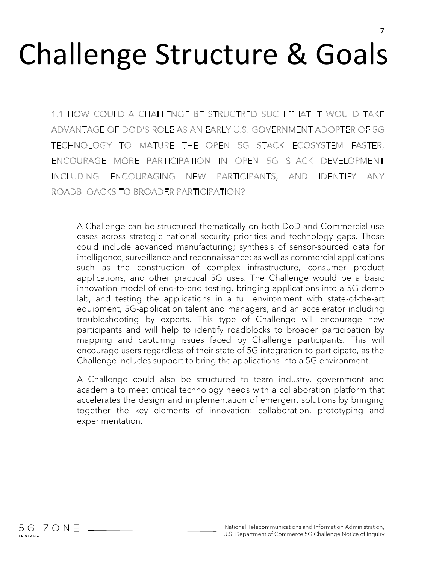# Challenge Structure & Goals

1.1 HOW COULD A CHALLENGE BE STRUCTRED SUCH THAT IT WOULD TAKE ADVANTAGE OF DOD'S ROLE AS AN EARLY U.S. GOVERNMENT ADOPTER OF 5G TECHNOLOGY TO MATURE THE OPEN 5G STACK ECOSYSTEM FASTER. ENCOURAGE MORE PARTICIPATION IN OPEN 5G STACK DEVELOPMENT **INCLUDING ENCOURAGING** NEW PARTICIPANTS, AND IDENTIFY ANY ROADBLOACKS TO BROADER PARTICIPATION?

A Challenge can be structured thematically on both DoD and Commercial use cases across strategic national security priorities and technology gaps. These could include advanced manufacturing; synthesis of sensor-sourced data for intelligence, surveillance and reconnaissance; as well as commercial applications such as the construction of complex infrastructure, consumer product applications, and other practical 5G uses. The Challenge would be a basic innovation model of end-to-end testing, bringing applications into a 5G demo lab, and testing the applications in a full environment with state-of-the-art equipment, 5G-application talent and managers, and an accelerator including troubleshooting by experts. This type of Challenge will encourage new participants and will help to identify roadblocks to broader participation by mapping and capturing issues faced by Challenge participants. This will encourage users regardless of their state of 5G integration to participate, as the Challenge includes support to bring the applications into a 5G environment.

A Challenge could also be structured to team industry, government and academia to meet critical technology needs with a collaboration platform that accelerates the design and implementation of emergent solutions by bringing together the key elements of innovation: collaboration, prototyping and experimentation.

 $5G$  ZON  $\equiv$ 

INDIANA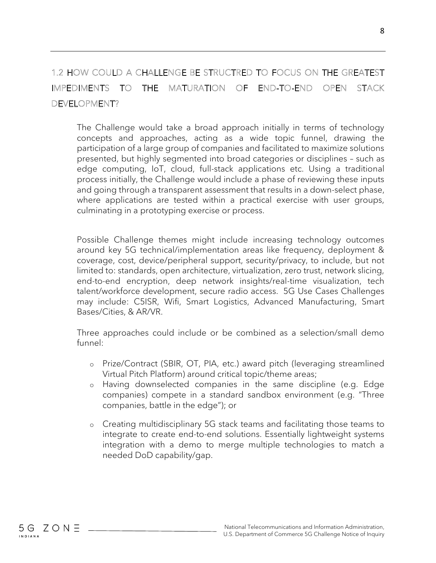### 1.2 HOW COULD A CHALLENGE BE STRUCTRED TO FOCUS ON THE GREATEST IMPEDIMENTS TO THE MATURATION OF END-TO-END OPEN STACK DEVELOPMENT?

The Challenge would take a broad approach initially in terms of technology concepts and approaches, acting as a wide topic funnel, drawing the participation of a large group of companies and facilitated to maximize solutions presented, but highly segmented into broad categories or disciplines – such as edge computing, IoT, cloud, full-stack applications etc. Using a traditional process initially, the Challenge would include a phase of reviewing these inputs and going through a transparent assessment that results in a down-select phase, where applications are tested within a practical exercise with user groups, culminating in a prototyping exercise or process.

Possible Challenge themes might include increasing technology outcomes around key 5G technical/implementation areas like frequency, deployment & coverage, cost, device/peripheral support, security/privacy, to include, but not limited to: standards, open architecture, virtualization, zero trust, network slicing, end-to-end encryption, deep network insights/real-time visualization, tech talent/workforce development, secure radio access. 5G Use Cases Challenges may include: C5ISR, Wifi, Smart Logistics, Advanced Manufacturing, Smart Bases/Cities, & AR/VR.

Three approaches could include or be combined as a selection/small demo funnel:

- o Prize/Contract (SBIR, OT, PIA, etc.) award pitch (leveraging streamlined Virtual Pitch Platform) around critical topic/theme areas;
- o Having downselected companies in the same discipline (e.g. Edge companies) compete in a standard sandbox environment (e.g. "Three companies, battle in the edge"); or
- o Creating multidisciplinary 5G stack teams and facilitating those teams to integrate to create end-to-end solutions. Essentially lightweight systems integration with a demo to merge multiple technologies to match a needed DoD capability/gap.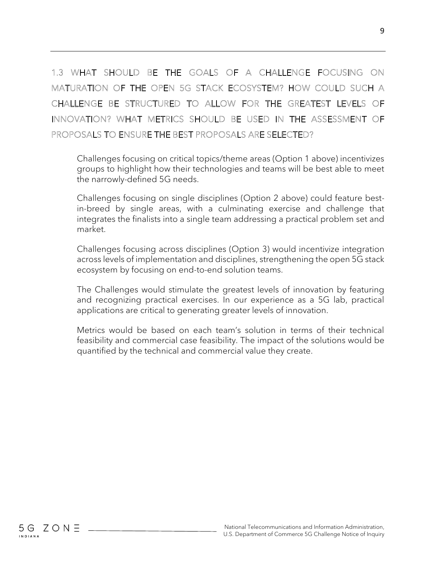## 1.3 WHAT SHOULD BE THE GOALS OF A CHALLENGE FOCUSING ON MATURATION OF THE OPEN 5G STACK ECOSYSTEM? HOW COULD SUCH A CHALLENGE BE STRUCTURED TO ALLOW FOR THE GREATEST LEVELS OF INNOVATION? WHAT METRICS SHOULD BE USED IN THE ASSESSMENT OF PROPOSALS TO ENSURE THE BEST PROPOSALS ARE SELECTED?

Challenges focusing on critical topics/theme areas (Option 1 above) incentivizes groups to highlight how their technologies and teams will be best able to meet the narrowly-defined 5G needs.

Challenges focusing on single disciplines (Option 2 above) could feature bestin-breed by single areas, with a culminating exercise and challenge that integrates the finalists into a single team addressing a practical problem set and market.

Challenges focusing across disciplines (Option 3) would incentivize integration across levels of implementation and disciplines, strengthening the open 5G stack ecosystem by focusing on end-to-end solution teams.

The Challenges would stimulate the greatest levels of innovation by featuring and recognizing practical exercises. In our experience as a 5G lab, practical applications are critical to generating greater levels of innovation.

Metrics would be based on each team's solution in terms of their technical feasibility and commercial case feasibility. The impact of the solutions would be quantified by the technical and commercial value they create.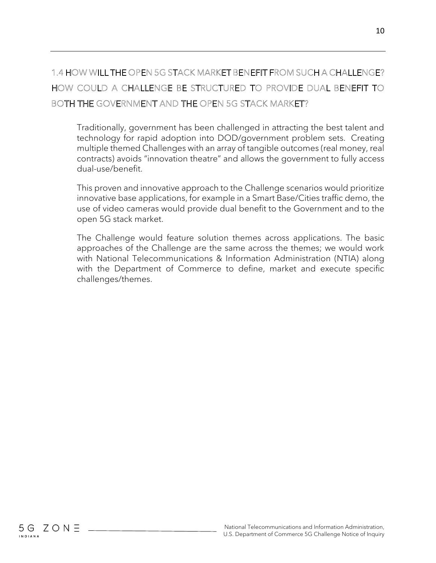### 1.4 HOW WILL THE OPEN 5G STACK MARKET BENEFIT FROM SUCH A CHALLENGE? HOW COULD A CHALLENGE BE STRUCTURED TO PROVIDE DUAL BENEFIT TO BOTH THE GOVERNMENT AND THE OPEN 5G STACK MARKET?

Traditionally, government has been challenged in attracting the best talent and technology for rapid adoption into DOD/government problem sets. Creating multiple themed Challenges with an array of tangible outcomes (real money, real contracts) avoids "innovation theatre" and allows the government to fully access dual-use/benefit.

This proven and innovative approach to the Challenge scenarios would prioritize innovative base applications, for example in a Smart Base/Cities traffic demo, the use of video cameras would provide dual benefit to the Government and to the open 5G stack market.

The Challenge would feature solution themes across applications. The basic approaches of the Challenge are the same across the themes; we would work with National Telecommunications & Information Administration (NTIA) along with the Department of Commerce to define, market and execute specific challenges/themes.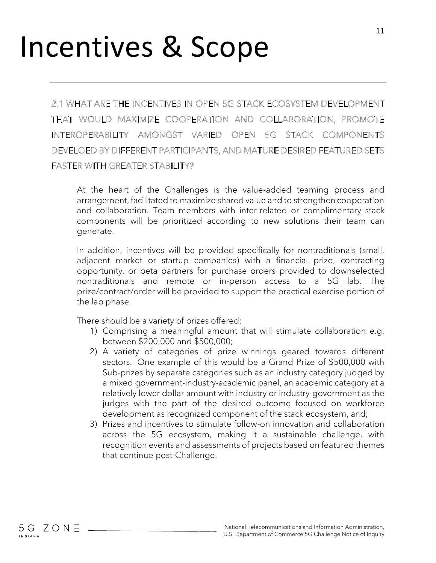## Incentives & Scope

2.1 WHAT ARE THE INCENTIVES IN OPEN 5G STACK ECOSYSTEM DEVELOPMENT THAT WOULD MAXIMIZE COOPERATION AND COLLABORATION, PROMOTE INTEROPERABILITY AMONGST VARIED OPEN 5G STACK COMPONENTS DEVELOED BY DIFFERENT PARTICIPANTS, AND MATURE DESIRED FEATURED SETS **FASTER WITH GREATER STABILITY?** 

At the heart of the Challenges is the value-added teaming process and arrangement, facilitated to maximize shared value and to strengthen cooperation and collaboration. Team members with inter-related or complimentary stack components will be prioritized according to new solutions their team can generate.

In addition, incentives will be provided specifically for nontraditionals (small, adjacent market or startup companies) with a financial prize, contracting opportunity, or beta partners for purchase orders provided to downselected nontraditionals and remote or in-person access to a 5G lab. The prize/contract/order will be provided to support the practical exercise portion of the lab phase.

There should be a variety of prizes offered:

- 1) Comprising a meaningful amount that will stimulate collaboration e.g. between \$200,000 and \$500,000;
- 2) A variety of categories of prize winnings geared towards different sectors. One example of this would be a Grand Prize of \$500,000 with Sub-prizes by separate categories such as an industry category judged by a mixed government-industry-academic panel, an academic category at a relatively lower dollar amount with industry or industry-government as the judges with the part of the desired outcome focused on workforce development as recognized component of the stack ecosystem, and;
- 3) Prizes and incentives to stimulate follow-on innovation and collaboration across the 5G ecosystem, making it a sustainable challenge, with recognition events and assessments of projects based on featured themes that continue post-Challenge.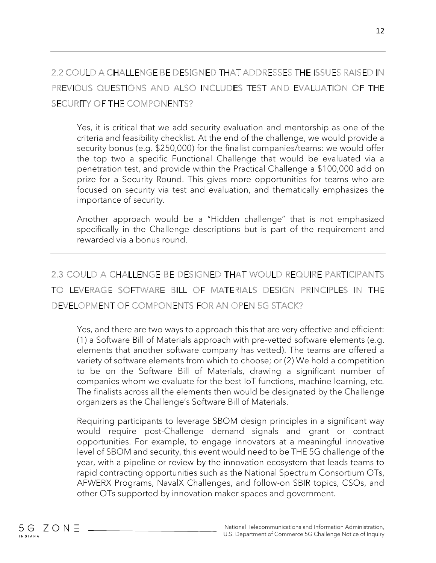### 2.2 COULD A CHALLENGE BE DESIGNED THAT ADDRESSES THE ISSUES RAISED IN PREVIOUS QUESTIONS AND ALSO INCLUDES TEST AND EVALUATION OF THE SECURITY OF THE COMPONENTS?

Yes, it is critical that we add security evaluation and mentorship as one of the criteria and feasibility checklist. At the end of the challenge, we would provide a security bonus (e.g. \$250,000) for the finalist companies/teams: we would offer the top two a specific Functional Challenge that would be evaluated via a penetration test, and provide within the Practical Challenge a \$100,000 add on prize for a Security Round. This gives more opportunities for teams who are focused on security via test and evaluation, and thematically emphasizes the importance of security.

Another approach would be a "Hidden challenge" that is not emphasized specifically in the Challenge descriptions but is part of the requirement and rewarded via a bonus round.

### 2.3 COULD A CHALLENGE BE DESIGNED THAT WOULD REQUIRE PARTICIPANTS TO LEVERAGE SOFTWARE BILL OF MATERIALS DESIGN PRINCIPLES IN THE DEVELOPMENT OF COMPONENTS FOR AN OPEN 5G STACK?

Yes, and there are two ways to approach this that are very effective and efficient: (1) a Software Bill of Materials approach with pre-vetted software elements (e.g. elements that another software company has vetted). The teams are offered a variety of software elements from which to choose; or (2) We hold a competition to be on the Software Bill of Materials, drawing a significant number of companies whom we evaluate for the best IoT functions, machine learning, etc. The finalists across all the elements then would be designated by the Challenge organizers as the Challenge's Software Bill of Materials.

Requiring participants to leverage SBOM design principles in a significant way would require post-Challenge demand signals and grant or contract opportunities. For example, to engage innovators at a meaningful innovative level of SBOM and security, this event would need to be THE 5G challenge of the year, with a pipeline or review by the innovation ecosystem that leads teams to rapid contracting opportunities such as the National Spectrum Consortium OTs, AFWERX Programs, NavalX Challenges, and follow-on SBIR topics, CSOs, and other OTs supported by innovation maker spaces and government.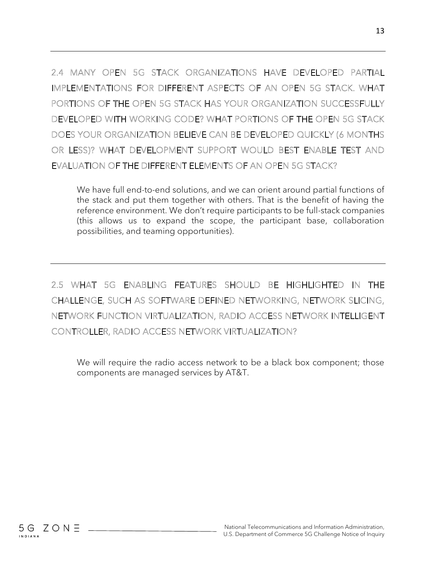2.4 MANY OPEN 5G STACK ORGANIZATIONS HAVE DEVELOPED PARTIAL IMPLEMENTATIONS FOR DIFFERENT ASPECTS OF AN OPEN 5G STACK, WHAT PORTIONS OF THE OPEN 5G STACK HAS YOUR ORGANIZATION SUCCESSFULLY DEVELOPED WITH WORKING CODE? WHAT PORTIONS OF THE OPEN 5G STACK DOES YOUR ORGANIZATION BELIEVE CAN BE DEVELOPED QUICKLY (6 MONTHS OR LESS)? WHAT DEVELOPMENT SUPPORT WOULD BEST ENABLE TEST AND EVALUATION OF THE DIFFERENT ELEMENTS OF AN OPEN 5G STACK?

We have full end-to-end solutions, and we can orient around partial functions of the stack and put them together with others. That is the benefit of having the reference environment. We don't require participants to be full-stack companies (this allows us to expand the scope, the participant base, collaboration possibilities, and teaming opportunities).

2.5 WHAT 5G ENABLING FEATURES SHOULD BE HIGHLIGHTED IN THE CHALLENGE, SUCH AS SOFTWARE DEFINED NETWORKING, NETWORK SLICING, NETWORK FUNCTION VIRTUALIZATION, RADIO ACCESS NETWORK INTELLIGENT CONTROLLER, RADIO ACCESS NETWORK VIRTUALIZATION?

We will require the radio access network to be a black box component; those components are managed services by AT&T.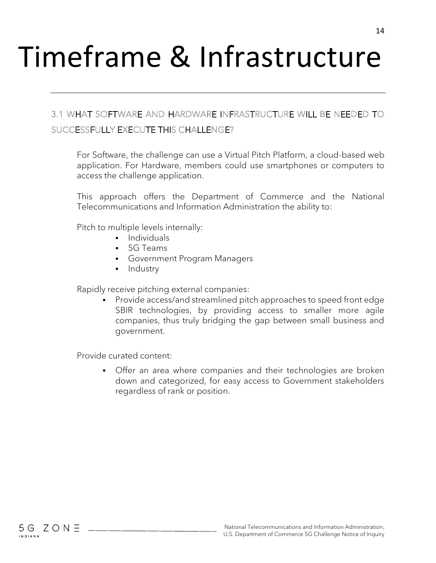# Timeframe & Infrastructure

### 3.1 WHAT SOFTWARE AND HARDWARE INFRASTRUCTURE WILL BE NEEDED TO SUCCESSFULLY EXECUTE THIS CHALLENGE?

For Software, the challenge can use a Virtual Pitch Platform, a cloud-based web application. For Hardware, members could use smartphones or computers to access the challenge application.

This approach offers the Department of Commerce and the National Telecommunications and Information Administration the ability to:

Pitch to multiple levels internally:

- **•** Individuals
- 5G Teams
- Government Program Managers
- Industry

Rapidly receive pitching external companies:

Provide access/and streamlined pitch approaches to speed front edge SBIR technologies, by providing access to smaller more agile companies, thus truly bridging the gap between small business and government.

Provide curated content:

Offer an area where companies and their technologies are broken down and categorized, for easy access to Government stakeholders regardless of rank or position.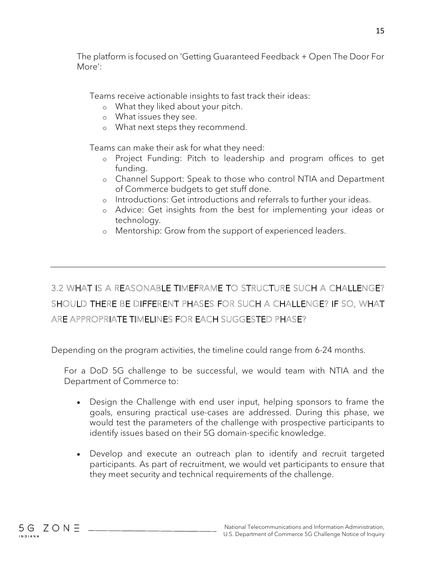The platform is focused on 'Getting Guaranteed Feedback + Open The Door For More':

Teams receive actionable insights to fast track their ideas:

- o What they liked about your pitch.
- o What issues they see.
- o What next steps they recommend.

Teams can make their ask for what they need:

- o Project Funding: Pitch to leadership and program offices to get funding.
- o Channel Support: Speak to those who control NTIA and Department of Commerce budgets to get stuff done.
- o Introductions: Get introductions and referrals to further your ideas.
- o Advice: Get insights from the best for implementing your ideas or technology.
- o Mentorship: Grow from the support of experienced leaders.

## 3.2 WHAT IS A REASONABLE TIMEFRAME TO STRUCTURE SUCH A CHALLENGE? SHOULD THERE BE DIFFERENT PHASES FOR SUCH A CHALLENGE? IF SO, WHAT ARE APPROPRIATE TIMELINES FOR EACH SUGGESTED PHASE?

Depending on the program activities, the timeline could range from 6-24 months.

For a DoD 5G challenge to be successful, we would team with NTIA and the Department of Commerce to:

- Design the Challenge with end user input, helping sponsors to frame the goals, ensuring practical use-cases are addressed. During this phase, we would test the parameters of the challenge with prospective participants to identify issues based on their 5G domain-specific knowledge.
- Develop and execute an outreach plan to identify and recruit targeted participants. As part of recruitment, we would vet participants to ensure that they meet security and technical requirements of the challenge.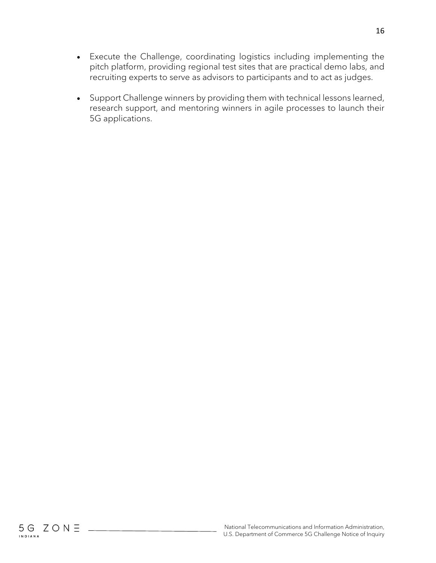- Execute the Challenge, coordinating logistics including implementing the pitch platform, providing regional test sites that are practical demo labs, and recruiting experts to serve as advisors to participants and to act as judges.
- Support Challenge winners by providing them with technical lessons learned, research support, and mentoring winners in agile processes to launch their 5G applications.